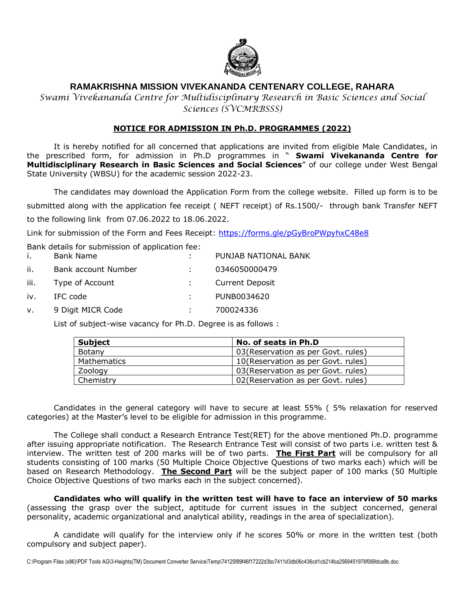

# **RAMAKRISHNA MISSION VIVEKANANDA CENTENARY COLLEGE, RAHARA**

*Swami Vivekananda Centre for Multidisciplinary Research in Basic Sciences and Social Sciences (SVCMRBSSS)* 

## **NOTICE FOR ADMISSION IN Ph.D. PROGRAMMES (2022)**

It is hereby notified for all concerned that applications are invited from eligible Male Candidates, in the prescribed form, for admission in Ph.D programmes in " **Swami Vivekananda Centre for Multidisciplinary Research in Basic Sciences and Social Sciences**" of our college under West Bengal State University (WBSU) for the academic session 2022-23.

The candidates may download the Application Form from the college website. Filled up form is to be submitted along with the application fee receipt (NEFT receipt) of Rs.1500/- through bank Transfer NEFT to the following link from 07.06.2022 to 18.06.2022.

Link for submission of the Form and Fees Receipt:<https://forms.gle/pGyBroPWpyhxC48e8>

Bank details for submission of application fee:

| j.          | <b>Bank Name</b>    | PUNJAB NATIONAL BANK   |
|-------------|---------------------|------------------------|
| ii.         | Bank account Number | 0346050000479          |
| iii.        | Type of Account     | <b>Current Deposit</b> |
| iv.         | IFC code            | PUNB0034620            |
| $V_{\star}$ | 9 Digit MICR Code   | 700024336              |

List of subject-wise vacancy for Ph.D. Degree is as follows :

| Subject     | No. of seats in Ph.D                |  |
|-------------|-------------------------------------|--|
| Botany      | 03 (Reservation as per Govt. rules) |  |
| Mathematics | 10 (Reservation as per Govt. rules) |  |
| Zoology     | 03 (Reservation as per Govt. rules) |  |
| Chemistry   | 02 (Reservation as per Govt. rules) |  |

Candidates in the general category will have to secure at least 55% ( 5% relaxation for reserved categories) at the Master's level to be eligible for admission in this programme.

The College shall conduct a Research Entrance Test(RET) for the above mentioned Ph.D. programme after issuing appropriate notification. The Research Entrance Test will consist of two parts i.e. written test & interview. The written test of 200 marks will be of two parts. **The First Part** will be compulsory for all students consisting of 100 marks (50 Multiple Choice Objective Questions of two marks each) which will be based on Research Methodology. **The Second Part** will be the subject paper of 100 marks (50 Multiple Choice Objective Questions of two marks each in the subject concerned).

**Candidates who will qualify in the written test will have to face an interview of 50 marks** (assessing the grasp over the subject, aptitude for current issues in the subject concerned, general personality, academic organizational and analytical ability, readings in the area of specialization).

A candidate will qualify for the interview only if he scores 50% or more in the written test (both compulsory and subject paper).